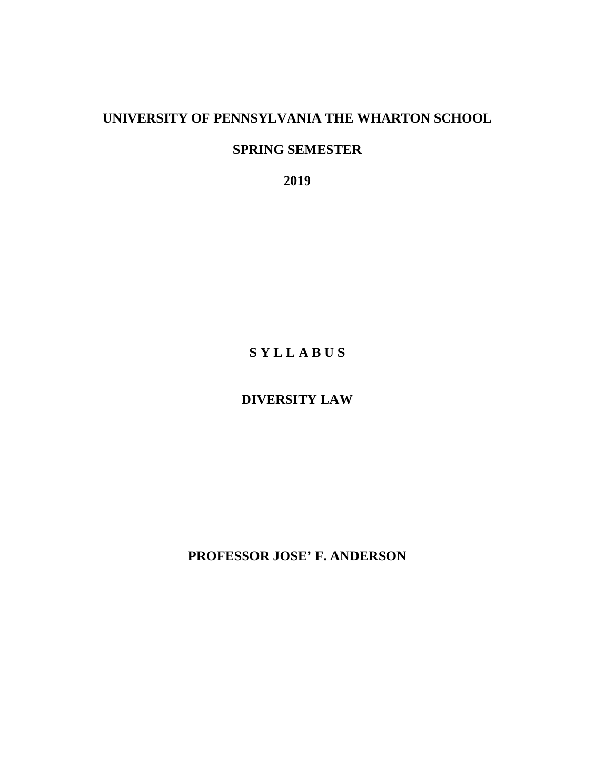## **UNIVERSITY OF PENNSYLVANIA THE WHARTON SCHOOL**

## **SPRING SEMESTER**

**2019** 

# **S Y L L A B U S**

# **DIVERSITY LAW**

**PROFESSOR JOSE' F. ANDERSON**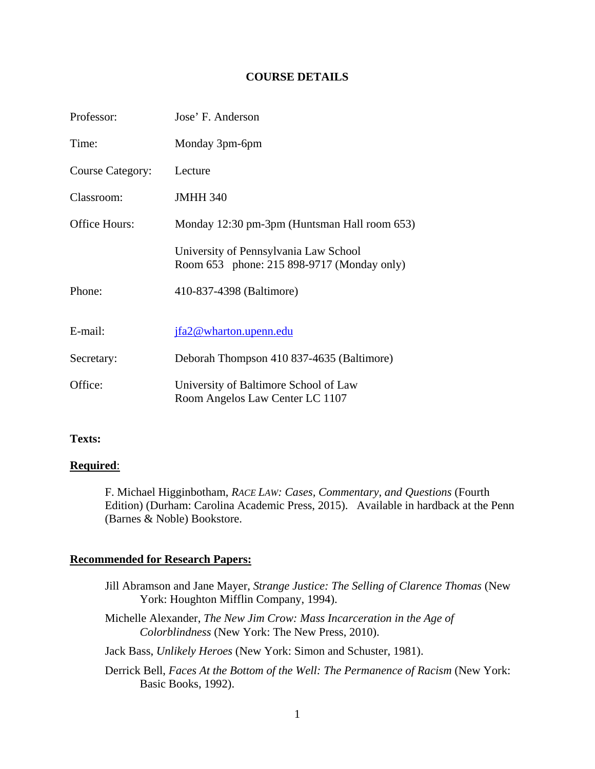## **COURSE DETAILS**

| Professor:              | Jose' F. Anderson                                                                   |
|-------------------------|-------------------------------------------------------------------------------------|
| Time:                   | Monday 3pm-6pm                                                                      |
| <b>Course Category:</b> | Lecture                                                                             |
| Classroom:              | <b>JMHH 340</b>                                                                     |
| <b>Office Hours:</b>    | Monday 12:30 pm-3pm (Huntsman Hall room 653)                                        |
|                         | University of Pennsylvania Law School<br>Room 653 phone: 215 898-9717 (Monday only) |
| Phone:                  | 410-837-4398 (Baltimore)                                                            |
| E-mail:                 | jfa2@wharton.upenn.edu                                                              |
| Secretary:              | Deborah Thompson 410 837-4635 (Baltimore)                                           |
| Office:                 | University of Baltimore School of Law<br>Room Angelos Law Center LC 1107            |

## **Texts:**

#### **Required**:

F. Michael Higginbotham, *RACE LAW: Cases, Commentary, and Questions* (Fourth Edition) (Durham: Carolina Academic Press, 2015). Available in hardback at the Penn (Barnes & Noble) Bookstore.

#### **Recommended for Research Papers:**

- Jill Abramson and Jane Mayer, *Strange Justice: The Selling of Clarence Thomas* (New York: Houghton Mifflin Company, 1994).
- Michelle Alexander, *The New Jim Crow: Mass Incarceration in the Age of Colorblindness* (New York: The New Press, 2010).
- Jack Bass, *Unlikely Heroes* (New York: Simon and Schuster, 1981).
- Derrick Bell, *Faces At the Bottom of the Well: The Permanence of Racism* (New York: Basic Books, 1992).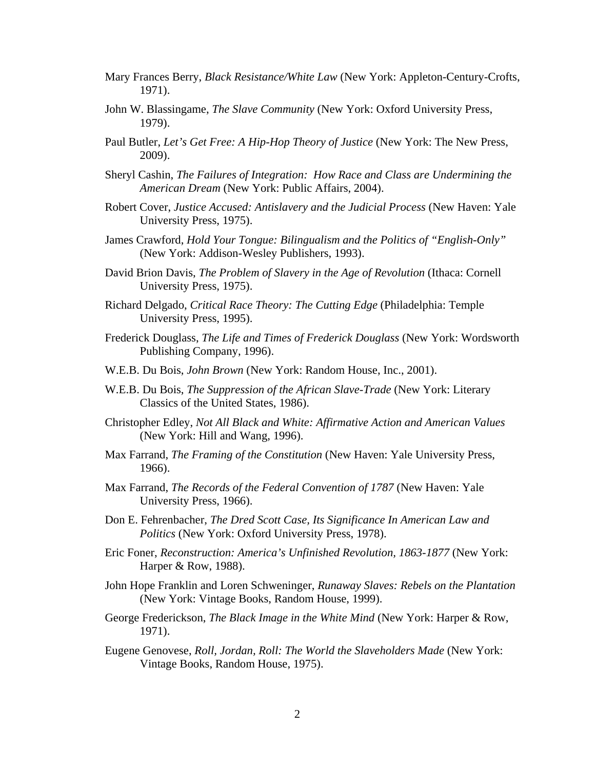- Mary Frances Berry, *Black Resistance/White Law* (New York: Appleton-Century-Crofts, 1971).
- John W. Blassingame, *The Slave Community* (New York: Oxford University Press, 1979).
- Paul Butler, *Let's Get Free: A Hip-Hop Theory of Justice* (New York: The New Press, 2009).
- Sheryl Cashin, *The Failures of Integration: How Race and Class are Undermining the American Dream* (New York: Public Affairs, 2004).
- Robert Cover, *Justice Accused: Antislavery and the Judicial Process* (New Haven: Yale University Press, 1975).
- James Crawford, *Hold Your Tongue: Bilingualism and the Politics of "English-Only"* (New York: Addison-Wesley Publishers, 1993).
- David Brion Davis, *The Problem of Slavery in the Age of Revolution* (Ithaca: Cornell University Press, 1975).
- Richard Delgado, *Critical Race Theory: The Cutting Edge* (Philadelphia: Temple University Press, 1995).
- Frederick Douglass, *The Life and Times of Frederick Douglass* (New York: Wordsworth Publishing Company, 1996).
- W.E.B. Du Bois, *John Brown* (New York: Random House, Inc., 2001).
- W.E.B. Du Bois, *The Suppression of the African Slave-Trade* (New York: Literary Classics of the United States, 1986).
- Christopher Edley, *Not All Black and White: Affirmative Action and American Values* (New York: Hill and Wang, 1996).
- Max Farrand, *The Framing of the Constitution* (New Haven: Yale University Press, 1966).
- Max Farrand, *The Records of the Federal Convention of 1787* (New Haven: Yale University Press, 1966).
- Don E. Fehrenbacher, *The Dred Scott Case, Its Significance In American Law and Politics* (New York: Oxford University Press, 1978).
- Eric Foner, *Reconstruction: America's Unfinished Revolution, 1863-1877* (New York: Harper & Row, 1988).
- John Hope Franklin and Loren Schweninger, *Runaway Slaves: Rebels on the Plantation*  (New York: Vintage Books, Random House, 1999).
- George Frederickson, *The Black Image in the White Mind* (New York: Harper & Row, 1971).
- Eugene Genovese, *Roll, Jordan, Roll: The World the Slaveholders Made* (New York: Vintage Books, Random House, 1975).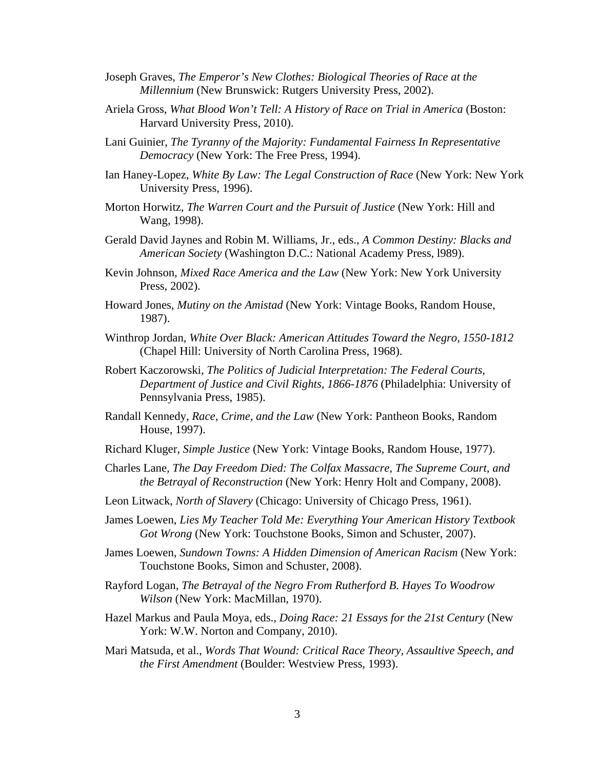- Joseph Graves, *The Emperor's New Clothes: Biological Theories of Race at the Millennium* (New Brunswick: Rutgers University Press, 2002).
- Ariela Gross, *What Blood Won't Tell: A History of Race on Trial in America* (Boston: Harvard University Press, 2010).
- Lani Guinier, *The Tyranny of the Majority: Fundamental Fairness In Representative Democracy* (New York: The Free Press, 1994).
- Ian Haney-Lopez, *White By Law: The Legal Construction of Race* (New York: New York University Press, 1996).
- Morton Horwitz, *The Warren Court and the Pursuit of Justice* (New York: Hill and Wang, 1998).
- Gerald David Jaynes and Robin M. Williams, Jr., eds., *A Common Destiny: Blacks and American Society* (Washington D.C.: National Academy Press, l989).
- Kevin Johnson, *Mixed Race America and the Law* (New York: New York University Press, 2002).
- Howard Jones, *Mutiny on the Amistad* (New York: Vintage Books, Random House, 1987).
- Winthrop Jordan, *White Over Black: American Attitudes Toward the Negro, 1550-1812* (Chapel Hill: University of North Carolina Press, 1968).
- Robert Kaczorowski, *The Politics of Judicial Interpretation: The Federal Courts, Department of Justice and Civil Rights, 1866-1876* (Philadelphia: University of Pennsylvania Press, 1985).
- Randall Kennedy, *Race, Crime, and the Law* (New York: Pantheon Books, Random House, 1997).
- Richard Kluger, *Simple Justice* (New York: Vintage Books, Random House, 1977).
- Charles Lane, *The Day Freedom Died: The Colfax Massacre, The Supreme Court, and the Betrayal of Reconstruction* (New York: Henry Holt and Company, 2008).
- Leon Litwack, *North of Slavery* (Chicago: University of Chicago Press, 1961).
- James Loewen, *Lies My Teacher Told Me: Everything Your American History Textbook Got Wrong* (New York: Touchstone Books, Simon and Schuster, 2007).
- James Loewen, *Sundown Towns: A Hidden Dimension of American Racism* (New York: Touchstone Books, Simon and Schuster, 2008).
- Rayford Logan, *The Betrayal of the Negro From Rutherford B. Hayes To Woodrow Wilson* (New York: MacMillan, 1970).
- Hazel Markus and Paula Moya, eds., *Doing Race: 21 Essays for the 21st Century* (New York: W.W. Norton and Company, 2010).
- Mari Matsuda, et al., *Words That Wound: Critical Race Theory, Assaultive Speech, and the First Amendment* (Boulder: Westview Press, 1993).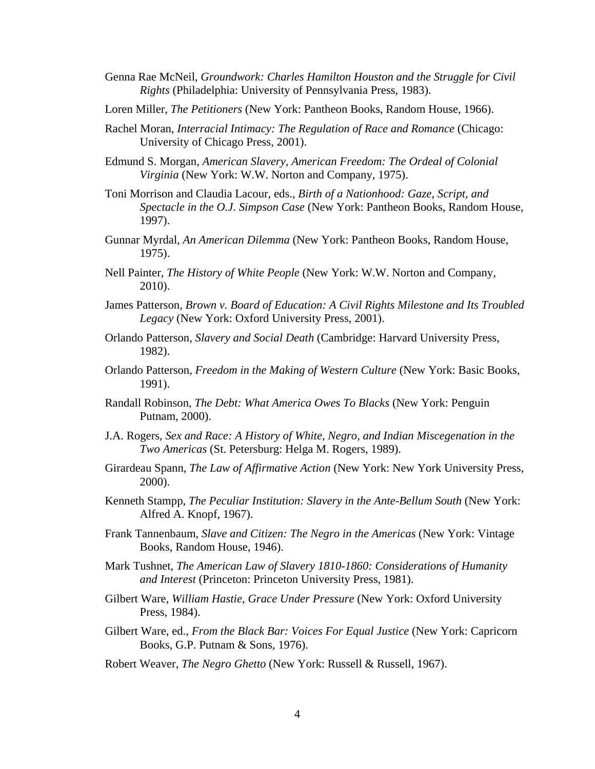- Genna Rae McNeil, *Groundwork: Charles Hamilton Houston and the Struggle for Civil Rights* (Philadelphia: University of Pennsylvania Press, 1983).
- Loren Miller, *The Petitioners* (New York: Pantheon Books, Random House, 1966).
- Rachel Moran, *Interracial Intimacy: The Regulation of Race and Romance* (Chicago: University of Chicago Press, 2001).
- Edmund S. Morgan, *American Slavery, American Freedom: The Ordeal of Colonial Virginia* (New York: W.W. Norton and Company, 1975).
- Toni Morrison and Claudia Lacour, eds., *Birth of a Nationhood: Gaze, Script, and Spectacle in the O.J. Simpson Case* (New York: Pantheon Books, Random House, 1997).
- Gunnar Myrdal, *An American Dilemma* (New York: Pantheon Books, Random House, 1975).
- Nell Painter, *The History of White People* (New York: W.W. Norton and Company, 2010).
- James Patterson, *Brown v. Board of Education: A Civil Rights Milestone and Its Troubled Legacy* (New York: Oxford University Press, 2001).
- Orlando Patterson, *Slavery and Social Death* (Cambridge: Harvard University Press, 1982).
- Orlando Patterson, *Freedom in the Making of Western Culture* (New York: Basic Books, 1991).
- Randall Robinson, *The Debt: What America Owes To Blacks* (New York: Penguin Putnam, 2000).
- J.A. Rogers, *Sex and Race: A History of White, Negro, and Indian Miscegenation in the Two Americas* (St. Petersburg: Helga M. Rogers, 1989).
- Girardeau Spann, *The Law of Affirmative Action* (New York: New York University Press, 2000).
- Kenneth Stampp, *The Peculiar Institution: Slavery in the Ante-Bellum South* (New York: Alfred A. Knopf, 1967).
- Frank Tannenbaum, *Slave and Citizen: The Negro in the Americas* (New York: Vintage Books, Random House, 1946).
- Mark Tushnet, *The American Law of Slavery 1810-1860: Considerations of Humanity and Interest* (Princeton: Princeton University Press, 1981).
- Gilbert Ware, *William Hastie, Grace Under Pressure* (New York: Oxford University Press, 1984).
- Gilbert Ware, ed., *From the Black Bar: Voices For Equal Justice* (New York: Capricorn Books, G.P. Putnam & Sons, 1976).
- Robert Weaver, *The Negro Ghetto* (New York: Russell & Russell, 1967).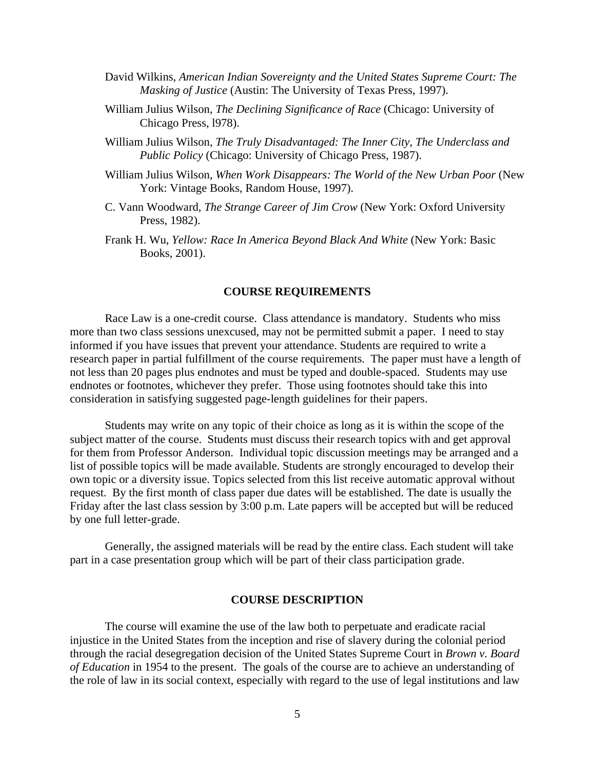- David Wilkins, *American Indian Sovereignty and the United States Supreme Court: The Masking of Justice* (Austin: The University of Texas Press, 1997).
- William Julius Wilson, *The Declining Significance of Race* (Chicago: University of Chicago Press, l978).
- William Julius Wilson, *The Truly Disadvantaged: The Inner City, The Underclass and Public Policy* (Chicago: University of Chicago Press, 1987).
- William Julius Wilson, *When Work Disappears: The World of the New Urban Poor* (New York: Vintage Books, Random House, 1997).
- C. Vann Woodward, *The Strange Career of Jim Crow* (New York: Oxford University Press, 1982).
- Frank H. Wu, *Yellow: Race In America Beyond Black And White* (New York: Basic Books, 2001).

#### **COURSE REQUIREMENTS**

Race Law is a one-credit course. Class attendance is mandatory. Students who miss more than two class sessions unexcused, may not be permitted submit a paper. I need to stay informed if you have issues that prevent your attendance. Students are required to write a research paper in partial fulfillment of the course requirements. The paper must have a length of not less than 20 pages plus endnotes and must be typed and double-spaced. Students may use endnotes or footnotes, whichever they prefer. Those using footnotes should take this into consideration in satisfying suggested page-length guidelines for their papers.

Students may write on any topic of their choice as long as it is within the scope of the subject matter of the course. Students must discuss their research topics with and get approval for them from Professor Anderson. Individual topic discussion meetings may be arranged and a list of possible topics will be made available. Students are strongly encouraged to develop their own topic or a diversity issue. Topics selected from this list receive automatic approval without request. By the first month of class paper due dates will be established. The date is usually the Friday after the last class session by 3:00 p.m. Late papers will be accepted but will be reduced by one full letter-grade.

Generally, the assigned materials will be read by the entire class. Each student will take part in a case presentation group which will be part of their class participation grade.

#### **COURSE DESCRIPTION**

The course will examine the use of the law both to perpetuate and eradicate racial injustice in the United States from the inception and rise of slavery during the colonial period through the racial desegregation decision of the United States Supreme Court in *Brown v. Board of Education* in 1954 to the present. The goals of the course are to achieve an understanding of the role of law in its social context, especially with regard to the use of legal institutions and law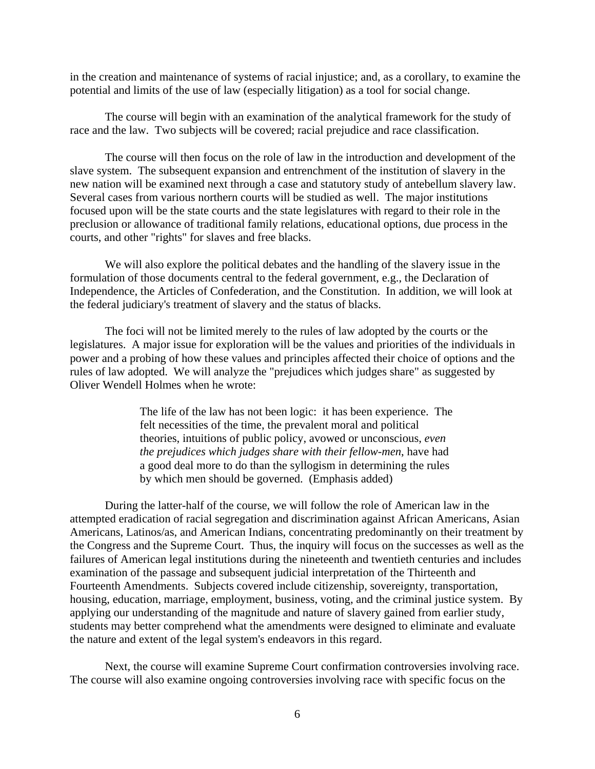in the creation and maintenance of systems of racial injustice; and, as a corollary, to examine the potential and limits of the use of law (especially litigation) as a tool for social change.

The course will begin with an examination of the analytical framework for the study of race and the law. Two subjects will be covered; racial prejudice and race classification.

The course will then focus on the role of law in the introduction and development of the slave system. The subsequent expansion and entrenchment of the institution of slavery in the new nation will be examined next through a case and statutory study of antebellum slavery law. Several cases from various northern courts will be studied as well. The major institutions focused upon will be the state courts and the state legislatures with regard to their role in the preclusion or allowance of traditional family relations, educational options, due process in the courts, and other "rights" for slaves and free blacks.

We will also explore the political debates and the handling of the slavery issue in the formulation of those documents central to the federal government, e.g., the Declaration of Independence, the Articles of Confederation, and the Constitution. In addition, we will look at the federal judiciary's treatment of slavery and the status of blacks.

The foci will not be limited merely to the rules of law adopted by the courts or the legislatures. A major issue for exploration will be the values and priorities of the individuals in power and a probing of how these values and principles affected their choice of options and the rules of law adopted. We will analyze the "prejudices which judges share" as suggested by Oliver Wendell Holmes when he wrote:

> The life of the law has not been logic: it has been experience. The felt necessities of the time, the prevalent moral and political theories, intuitions of public policy, avowed or unconscious, *even the prejudices which judges share with their fellow-men*, have had a good deal more to do than the syllogism in determining the rules by which men should be governed. (Emphasis added)

During the latter-half of the course, we will follow the role of American law in the attempted eradication of racial segregation and discrimination against African Americans, Asian Americans, Latinos/as, and American Indians, concentrating predominantly on their treatment by the Congress and the Supreme Court. Thus, the inquiry will focus on the successes as well as the failures of American legal institutions during the nineteenth and twentieth centuries and includes examination of the passage and subsequent judicial interpretation of the Thirteenth and Fourteenth Amendments. Subjects covered include citizenship, sovereignty, transportation, housing, education, marriage, employment, business, voting, and the criminal justice system. By applying our understanding of the magnitude and nature of slavery gained from earlier study, students may better comprehend what the amendments were designed to eliminate and evaluate the nature and extent of the legal system's endeavors in this regard.

Next, the course will examine Supreme Court confirmation controversies involving race. The course will also examine ongoing controversies involving race with specific focus on the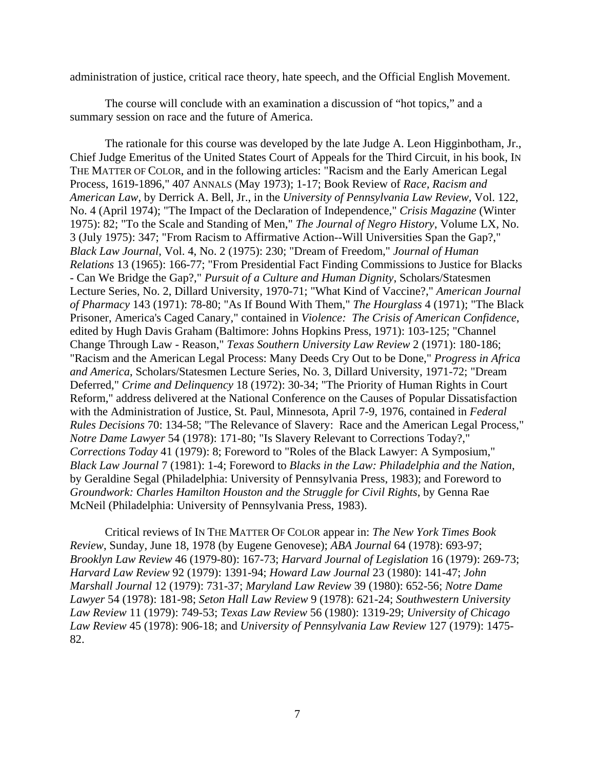administration of justice, critical race theory, hate speech, and the Official English Movement.

The course will conclude with an examination a discussion of "hot topics," and a summary session on race and the future of America.

The rationale for this course was developed by the late Judge A. Leon Higginbotham, Jr., Chief Judge Emeritus of the United States Court of Appeals for the Third Circuit, in his book, IN THE MATTER OF COLOR, and in the following articles: "Racism and the Early American Legal Process, 1619-1896," 407 ANNALS (May 1973); 1-17; Book Review of *Race, Racism and American Law*, by Derrick A. Bell, Jr., in the *University of Pennsylvania Law Review*, Vol. 122, No. 4 (April 1974); "The Impact of the Declaration of Independence," *Crisis Magazine* (Winter 1975): 82; "To the Scale and Standing of Men," *The Journal of Negro History*, Volume LX, No. 3 (July 1975): 347; "From Racism to Affirmative Action--Will Universities Span the Gap?," *Black Law Journal*, Vol. 4, No. 2 (1975): 230; "Dream of Freedom," *Journal of Human Relations* 13 (1965): 166-77; "From Presidential Fact Finding Commissions to Justice for Blacks - Can We Bridge the Gap?," *Pursuit of a Culture and Human Dignity*, Scholars/Statesmen Lecture Series, No. 2, Dillard University, 1970-71; "What Kind of Vaccine?," *American Journal of Pharmacy* 143 (1971): 78-80; "As If Bound With Them," *The Hourglass* 4 (1971); "The Black Prisoner, America's Caged Canary," contained in *Violence: The Crisis of American Confidence*, edited by Hugh Davis Graham (Baltimore: Johns Hopkins Press, 1971): 103-125; "Channel Change Through Law - Reason," *Texas Southern University Law Review* 2 (1971): 180-186; "Racism and the American Legal Process: Many Deeds Cry Out to be Done," *Progress in Africa and America*, Scholars/Statesmen Lecture Series, No. 3, Dillard University, 1971-72; "Dream Deferred," *Crime and Delinquency* 18 (1972): 30-34; "The Priority of Human Rights in Court Reform," address delivered at the National Conference on the Causes of Popular Dissatisfaction with the Administration of Justice, St. Paul, Minnesota, April 7-9, 1976, contained in *Federal Rules Decisions* 70: 134-58; "The Relevance of Slavery: Race and the American Legal Process," *Notre Dame Lawyer* 54 (1978): 171-80; "Is Slavery Relevant to Corrections Today?," *Corrections Today* 41 (1979): 8; Foreword to "Roles of the Black Lawyer: A Symposium," *Black Law Journal* 7 (1981): 1-4; Foreword to *Blacks in the Law: Philadelphia and the Nation*, by Geraldine Segal (Philadelphia: University of Pennsylvania Press, 1983); and Foreword to *Groundwork: Charles Hamilton Houston and the Struggle for Civil Rights*, by Genna Rae McNeil (Philadelphia: University of Pennsylvania Press, 1983).

Critical reviews of IN THE MATTER OF COLOR appear in: *The New York Times Book Review*, Sunday, June 18, 1978 (by Eugene Genovese); *ABA Journal* 64 (1978): 693-97; *Brooklyn Law Review* 46 (1979-80): 167-73; *Harvard Journal of Legislation* 16 (1979): 269-73; *Harvard Law Review* 92 (1979): 1391-94; *Howard Law Journal* 23 (1980): 141-47; *John Marshall Journal* 12 (1979): 731-37; *Maryland Law Review* 39 (1980): 652-56; *Notre Dame Lawyer* 54 (1978): 181-98; *Seton Hall Law Review* 9 (1978): 621-24; *Southwestern University Law Review* 11 (1979): 749-53; *Texas Law Review* 56 (1980): 1319-29; *University of Chicago Law Review* 45 (1978): 906-18; and *University of Pennsylvania Law Review* 127 (1979): 1475- 82.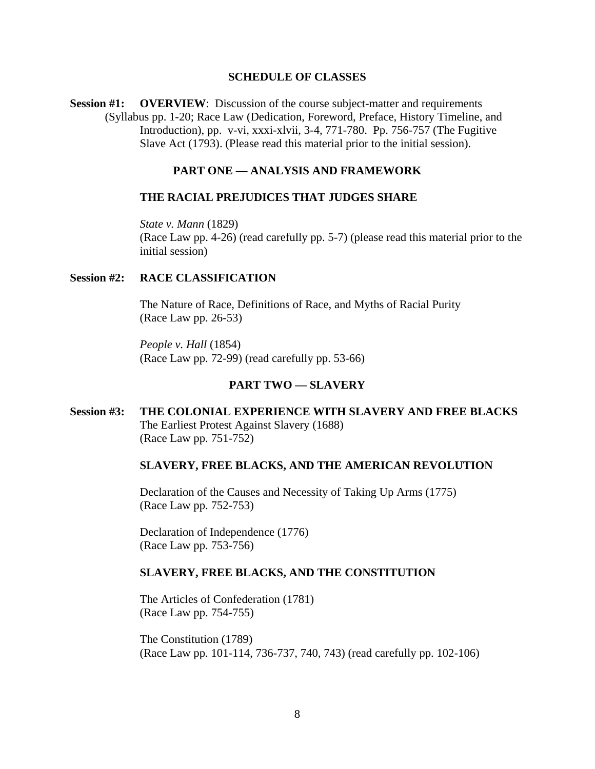#### **SCHEDULE OF CLASSES**

**Session #1: OVERVIEW**: Discussion of the course subject-matter and requirements (Syllabus pp. 1-20; Race Law (Dedication, Foreword, Preface, History Timeline, and Introduction), pp. v-vi, xxxi-xlvii, 3-4, 771-780. Pp. 756-757 (The Fugitive Slave Act (1793). (Please read this material prior to the initial session).

## **PART ONE — ANALYSIS AND FRAMEWORK**

#### **THE RACIAL PREJUDICES THAT JUDGES SHARE**

*State v. Mann* (1829) (Race Law pp. 4-26) (read carefully pp. 5-7) (please read this material prior to the initial session)

## **Session #2: RACE CLASSIFICATION**

 The Nature of Race, Definitions of Race, and Myths of Racial Purity (Race Law pp. 26-53)

*People v. Hall* (1854) (Race Law pp. 72-99) (read carefully pp. 53-66)

#### **PART TWO — SLAVERY**

## **Session #3: THE COLONIAL EXPERIENCE WITH SLAVERY AND FREE BLACKS**  The Earliest Protest Against Slavery (1688) (Race Law pp. 751-752)

#### **SLAVERY, FREE BLACKS, AND THE AMERICAN REVOLUTION**

 Declaration of the Causes and Necessity of Taking Up Arms (1775) (Race Law pp. 752-753)

 Declaration of Independence (1776) (Race Law pp. 753-756)

#### **SLAVERY, FREE BLACKS, AND THE CONSTITUTION**

 The Articles of Confederation (1781) (Race Law pp. 754-755)

 The Constitution (1789) (Race Law pp. 101-114, 736-737, 740, 743) (read carefully pp. 102-106)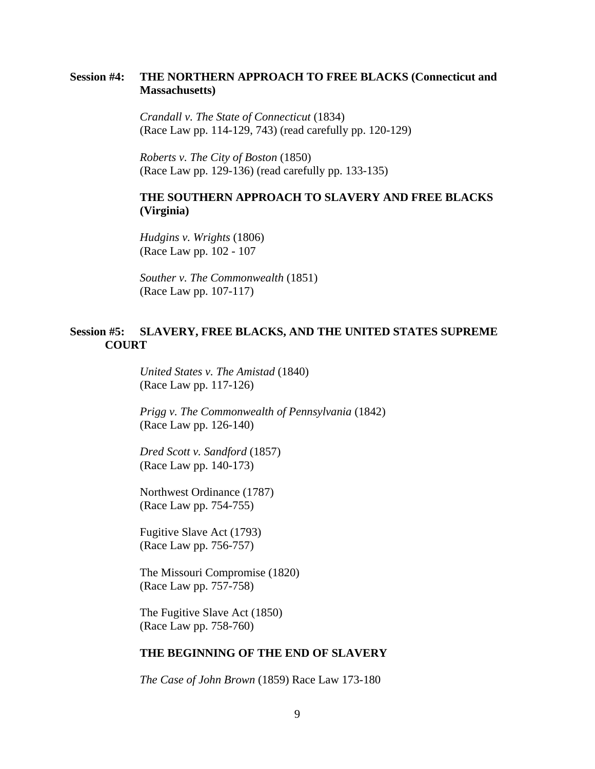## **Session #4: THE NORTHERN APPROACH TO FREE BLACKS (Connecticut and Massachusetts)**

 *Crandall v. The State of Connecticut* (1834) (Race Law pp. 114-129, 743) (read carefully pp. 120-129)

 *Roberts v. The City of Boston* (1850) (Race Law pp. 129-136) (read carefully pp. 133-135)

## **THE SOUTHERN APPROACH TO SLAVERY AND FREE BLACKS (Virginia)**

 *Hudgins v. Wrights* (1806) (Race Law pp. 102 - 107

 *Souther v. The Commonwealth* (1851) (Race Law pp. 107-117)

## **Session #5: SLAVERY, FREE BLACKS, AND THE UNITED STATES SUPREME COURT**

 *United States v. The Amistad* (1840) (Race Law pp. 117-126)

 *Prigg v. The Commonwealth of Pennsylvania* (1842) (Race Law pp. 126-140)

 *Dred Scott v. Sandford* (1857) (Race Law pp. 140-173)

 Northwest Ordinance (1787) (Race Law pp. 754-755)

 Fugitive Slave Act (1793) (Race Law pp. 756-757)

 The Missouri Compromise (1820) (Race Law pp. 757-758)

 The Fugitive Slave Act (1850) (Race Law pp. 758-760)

## **THE BEGINNING OF THE END OF SLAVERY**

*The Case of John Brown* (1859) Race Law 173-180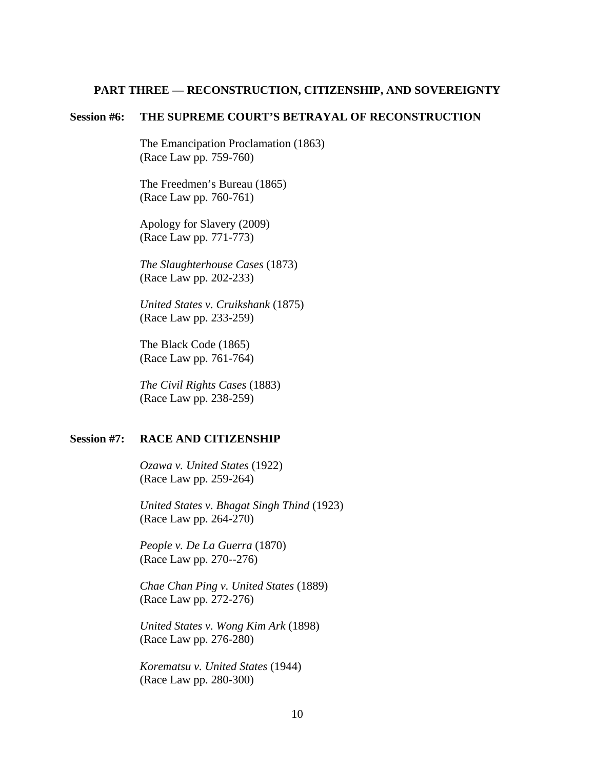#### **PART THREE — RECONSTRUCTION, CITIZENSHIP, AND SOVEREIGNTY**

### **Session #6: THE SUPREME COURT'S BETRAYAL OF RECONSTRUCTION**

 The Emancipation Proclamation (1863) (Race Law pp. 759-760)

 The Freedmen's Bureau (1865) (Race Law pp. 760-761)

 Apology for Slavery (2009) (Race Law pp. 771-773)

 *The Slaughterhouse Cases* (1873) (Race Law pp. 202-233)

 *United States v. Cruikshank* (1875) (Race Law pp. 233-259)

 The Black Code (1865) (Race Law pp. 761-764)

 *The Civil Rights Cases* (1883) (Race Law pp. 238-259)

#### **Session #7: RACE AND CITIZENSHIP**

 *Ozawa v. United States* (1922) (Race Law pp. 259-264)

 *United States v. Bhagat Singh Thind* (1923) (Race Law pp. 264-270)

 *People v. De La Guerra* (1870) (Race Law pp. 270--276)

 *Chae Chan Ping v. United States* (1889) (Race Law pp. 272-276)

 *United States v. Wong Kim Ark* (1898) (Race Law pp. 276-280)

 *Korematsu v. United States* (1944) (Race Law pp. 280-300)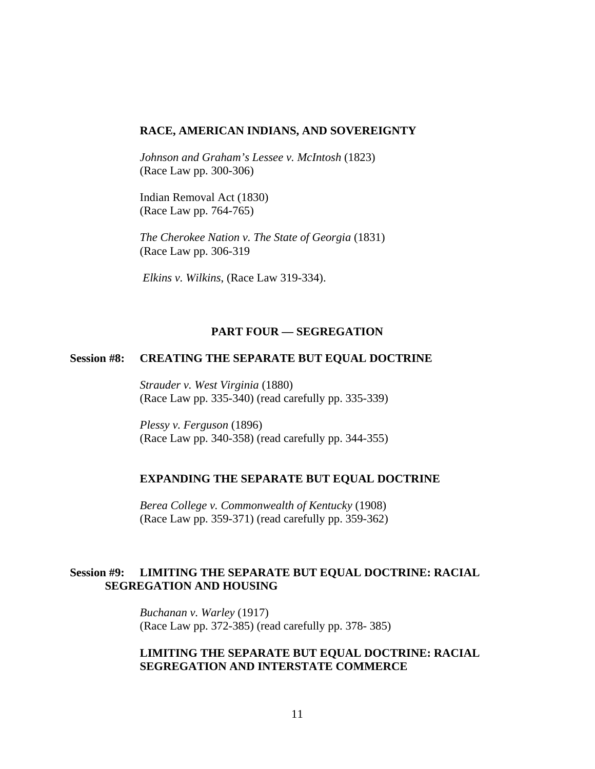#### **RACE, AMERICAN INDIANS, AND SOVEREIGNTY**

 *Johnson and Graham's Lessee v. McIntosh* (1823) (Race Law pp. 300-306)

 Indian Removal Act (1830) (Race Law pp. 764-765)

 *The Cherokee Nation v. The State of Georgia* (1831) (Race Law pp. 306-319

*Elkins v. Wilkins*, (Race Law 319-334).

### **PART FOUR — SEGREGATION**

### **Session #8: CREATING THE SEPARATE BUT EQUAL DOCTRINE**

 *Strauder v. West Virginia* (1880) (Race Law pp. 335-340) (read carefully pp. 335-339)

 *Plessy v. Ferguson* (1896) (Race Law pp. 340-358) (read carefully pp. 344-355)

#### **EXPANDING THE SEPARATE BUT EQUAL DOCTRINE**

 *Berea College v. Commonwealth of Kentucky* (1908) (Race Law pp. 359-371) (read carefully pp. 359-362)

### **Session #9: LIMITING THE SEPARATE BUT EQUAL DOCTRINE: RACIAL SEGREGATION AND HOUSING**

 *Buchanan v. Warley* (1917) (Race Law pp. 372-385) (read carefully pp. 378- 385)

## **LIMITING THE SEPARATE BUT EQUAL DOCTRINE: RACIAL SEGREGATION AND INTERSTATE COMMERCE**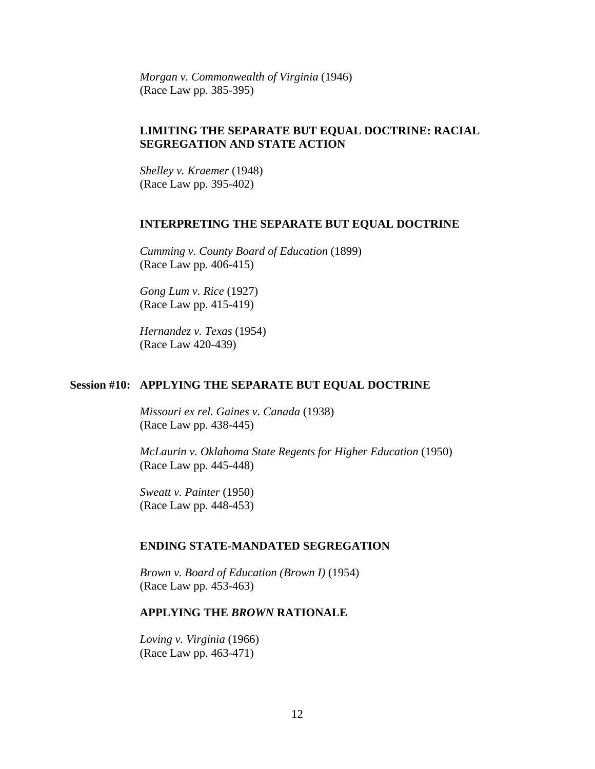*Morgan v. Commonwealth of Virginia* (1946) (Race Law pp. 385-395)

## **LIMITING THE SEPARATE BUT EQUAL DOCTRINE: RACIAL SEGREGATION AND STATE ACTION**

 *Shelley v. Kraemer* (1948) (Race Law pp. 395-402)

#### **INTERPRETING THE SEPARATE BUT EQUAL DOCTRINE**

 *Cumming v. County Board of Education* (1899) (Race Law pp. 406-415)

 *Gong Lum v. Rice* (1927) (Race Law pp. 415-419)

 *Hernandez v. Texas* (1954) (Race Law 420-439)

#### **Session #10: APPLYING THE SEPARATE BUT EQUAL DOCTRINE**

 *Missouri ex rel. Gaines v. Canada* (1938) (Race Law pp. 438-445)

 *McLaurin v. Oklahoma State Regents for Higher Education* (1950) (Race Law pp. 445-448)

 *Sweatt v. Painter* (1950) (Race Law pp. 448-453)

#### **ENDING STATE-MANDATED SEGREGATION**

 *Brown v. Board of Education (Brown I)* (1954) (Race Law pp. 453-463)

#### **APPLYING THE** *BROWN* **RATIONALE**

 *Loving v. Virginia* (1966) (Race Law pp. 463-471)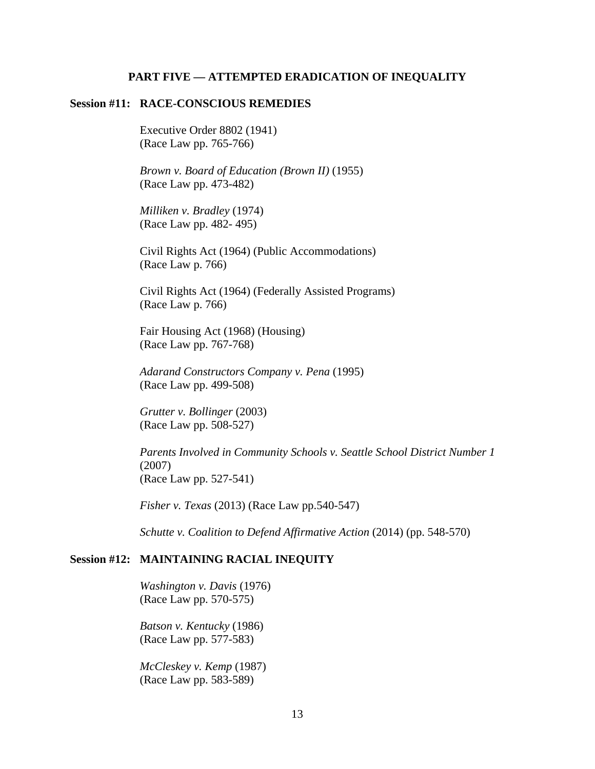### **PART FIVE — ATTEMPTED ERADICATION OF INEQUALITY**

#### **Session #11: RACE-CONSCIOUS REMEDIES**

 Executive Order 8802 (1941) (Race Law pp. 765-766)

 *Brown v. Board of Education (Brown II)* (1955) (Race Law pp. 473-482)

 *Milliken v. Bradley* (1974) (Race Law pp. 482- 495)

 Civil Rights Act (1964) (Public Accommodations) (Race Law p. 766)

 Civil Rights Act (1964) (Federally Assisted Programs) (Race Law p. 766)

 Fair Housing Act (1968) (Housing) (Race Law pp. 767-768)

 *Adarand Constructors Company v. Pena* (1995) (Race Law pp. 499-508)

 *Grutter v. Bollinger* (2003) (Race Law pp. 508-527)

 *Parents Involved in Community Schools v. Seattle School District Number 1* (2007) (Race Law pp. 527-541)

*Fisher v. Texas* (2013) (Race Law pp.540-547)

*Schutte v. Coalition to Defend Affirmative Action* (2014) (pp. 548-570)

#### **Session #12: MAINTAINING RACIAL INEQUITY**

 *Washington v. Davis* (1976) (Race Law pp. 570-575)

 *Batson v. Kentucky* (1986) (Race Law pp. 577-583)

 *McCleskey v. Kemp* (1987) (Race Law pp. 583-589)